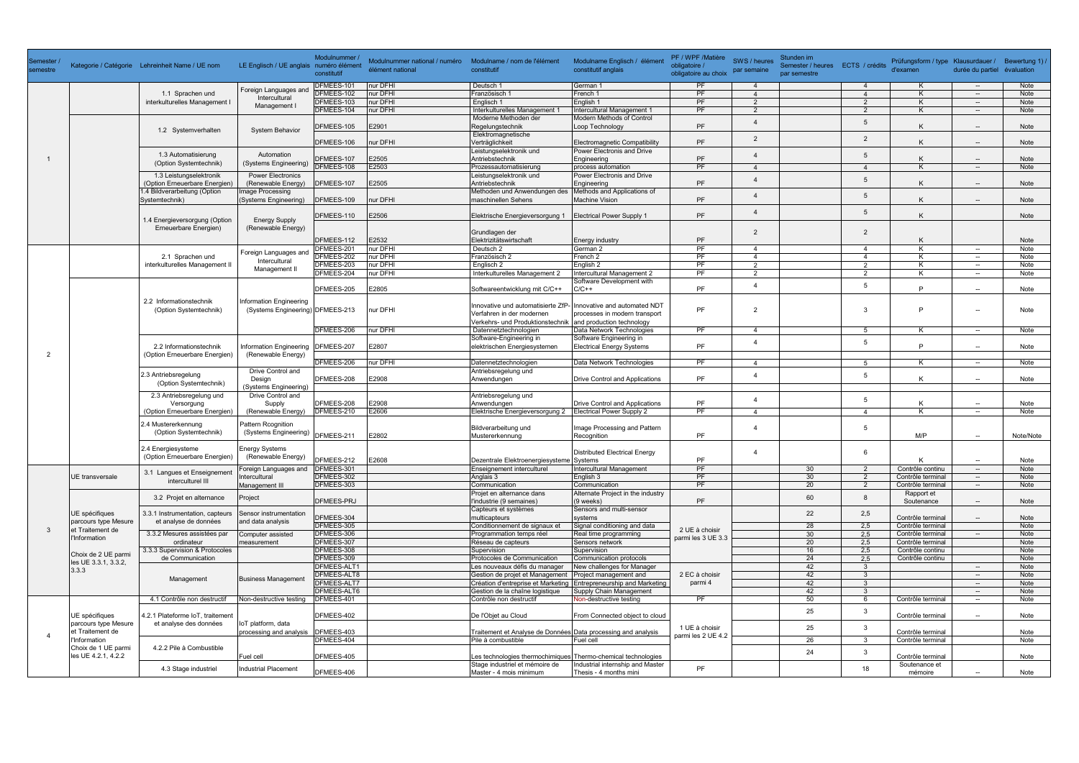|                |                                                                                                    |                                                                                              |                                                             | Modulnummer /            |                                                   |                                                                 |                                                                   | PF / WPF /Matière    |                             | Stunden im                       |                        |                                                               |                                    |              |
|----------------|----------------------------------------------------------------------------------------------------|----------------------------------------------------------------------------------------------|-------------------------------------------------------------|--------------------------|---------------------------------------------------|-----------------------------------------------------------------|-------------------------------------------------------------------|----------------------|-----------------------------|----------------------------------|------------------------|---------------------------------------------------------------|------------------------------------|--------------|
| semestre       |                                                                                                    | Kategorie / Catégorie Lehreinheit Name / UE nom                                              | LE Englisch / UE anglais numéro élément                     |                          | Modulnummer national / numéro<br>élément national | Modulname / nom de l'élément<br>constitutif                     | Modulname Englisch / élémen<br>constitutif anglais                | obligatoire /        | SWS / heures<br>par semaine | Semester / heures ECTS / crédits |                        | Prüfungsform / type Klausurdauer / Bewertung 1) /<br>d'examen | durée du partiel évaluation        |              |
|                |                                                                                                    |                                                                                              |                                                             | constitutif              |                                                   |                                                                 |                                                                   | obligatoire au choix |                             | par semestre                     |                        |                                                               |                                    |              |
|                |                                                                                                    |                                                                                              | Foreign Languages and                                       | DFMEES-101               | nur DFHI                                          | Deutsch 1                                                       | German 1                                                          | PF                   | $\overline{4}$              |                                  | $\Delta$               | K                                                             | $\overline{\phantom{a}}$           | Note         |
|                |                                                                                                    | 1.1 Sprachen und                                                                             | Intercultural                                               | DFMEES-102               | nur DFHI                                          | Französisch 1                                                   | French 1                                                          | PF                   | $\overline{4}$              |                                  | $\overline{4}$         | K                                                             | $\overline{\phantom{a}}$           | Note         |
|                |                                                                                                    | interkulturelles Management I                                                                | Management I                                                | DFMEES-103               | nur DFHI                                          | Englisch 1                                                      | English 1                                                         | PF                   | $\mathcal{P}$               |                                  | $\mathcal{P}$          | K                                                             | $\overline{\phantom{a}}$           | Note         |
|                |                                                                                                    |                                                                                              |                                                             | DFMEES-104               | nur DFHI                                          | Interkulturelles Management 1                                   | Intercultural Management 1                                        | PF                   | 2                           |                                  | 2                      | K                                                             | $\overline{\phantom{a}}$           | <b>Note</b>  |
|                |                                                                                                    |                                                                                              | <b>System Behavior</b>                                      |                          |                                                   | Moderne Methoden der                                            | <b>Modern Methods of Control</b>                                  |                      | $\boldsymbol{\Delta}$       |                                  | 5                      |                                                               |                                    |              |
|                |                                                                                                    | 1.2 Systemverhalten                                                                          |                                                             | DFMEES-105               | E2901                                             | Regelungstechnik<br>Elektromagnetische                          | Loop Technology                                                   | PF                   |                             |                                  |                        |                                                               |                                    | Note         |
|                |                                                                                                    |                                                                                              |                                                             | DFMEES-106               | nur DFHI                                          | Verträglichkeit                                                 | Electromagnetic Compatibility                                     | <b>PF</b>            | 2                           |                                  | 2                      |                                                               | $\overline{\phantom{a}}$           | Note         |
|                |                                                                                                    |                                                                                              |                                                             |                          |                                                   | Leistungselektronik und                                         | Power Electronis and Drive                                        |                      |                             |                                  |                        |                                                               |                                    |              |
|                |                                                                                                    | 1.3 Automatisierung                                                                          | Automation                                                  | DFMEES-107               | E2505                                             | Antriebstechnik                                                 | Engineering                                                       | PF                   | $\overline{4}$              |                                  | 5                      | K                                                             | $\overline{\phantom{a}}$           | Note         |
|                |                                                                                                    | (Option Systemtechnik)                                                                       | (Systems Engineering)                                       | DFMEES-108               | E2503                                             | Prozessautomatisierung                                          | process automation                                                | PF                   | $\Delta$                    |                                  | $\boldsymbol{\Lambda}$ | K                                                             | $\overline{\phantom{a}}$           | Note         |
|                |                                                                                                    | 1.3 Leistungselektronik                                                                      | <b>Power Electronics</b>                                    |                          |                                                   | Leistungselektronik und                                         | Power Electronis and Drive                                        |                      | $\boldsymbol{\Delta}$       |                                  |                        |                                                               |                                    |              |
|                |                                                                                                    | (Option Erneuerbare Energien)                                                                | (Renewable Energy)                                          | DFMEES-107               | E2505                                             | Antriebstechnik                                                 | Engineering                                                       | PF                   |                             |                                  | 5                      |                                                               |                                    | Note         |
|                |                                                                                                    | 1.4 Bildverarbeitung (Option                                                                 | mage Processing                                             |                          |                                                   | Methoden und Anwendungen des                                    | Methods and Applications of                                       |                      | $\overline{4}$              |                                  | 5                      |                                                               |                                    |              |
|                |                                                                                                    | Systemtechnik)                                                                               | (Systems Engineering)                                       | DFMEES-109               | nur DFHI                                          | maschinellen Sehens                                             | <b>Machine Vision</b>                                             | PF                   |                             |                                  |                        |                                                               |                                    | Note         |
|                |                                                                                                    |                                                                                              |                                                             |                          |                                                   |                                                                 |                                                                   |                      | $\overline{4}$              |                                  | 5                      |                                                               |                                    |              |
|                |                                                                                                    | 1.4 Energieversorgung (Option                                                                | <b>Energy Supply</b>                                        | DFMEES-110               | E2506                                             | Elektrische Energieversorgung 1 Electrical Power Supply 1       |                                                                   | PF                   |                             |                                  |                        | K                                                             |                                    | Note         |
|                |                                                                                                    | Erneuerbare Energien)                                                                        | (Renewable Energy)                                          |                          |                                                   |                                                                 |                                                                   |                      |                             |                                  |                        |                                                               |                                    |              |
|                |                                                                                                    |                                                                                              |                                                             | DFMEES-112               | E2532                                             | Grundlagen der<br>Elektrizitätswirtschaft                       | <b>Energy industry</b>                                            | <b>PF</b>            | $\overline{2}$              |                                  | 2                      | K                                                             |                                    | Note         |
|                |                                                                                                    |                                                                                              |                                                             | DFMEES-201               | nur DFHI                                          | Deutsch 2                                                       | German 2                                                          | PF                   | $\overline{4}$              |                                  | $\overline{4}$         | K                                                             |                                    | Note         |
|                |                                                                                                    | 2.1 Sprachen und                                                                             | Foreign Languages ar                                        | DFMEES-202               | nur DFHI                                          | Französisch 2                                                   | French <sub>2</sub>                                               | PF                   | $\overline{4}$              |                                  | $\overline{4}$         | K                                                             | $\overline{\phantom{a}}$           | Note         |
|                |                                                                                                    | interkulturelles Management II                                                               | Intercultural                                               | DFMEES-203               | nur DFHI                                          | Englisch 2                                                      | English <sub>2</sub>                                              | PF                   | 2                           |                                  | 2                      | K                                                             | $\overline{\phantom{a}}$           | Note         |
|                |                                                                                                    |                                                                                              | Management II                                               | DFMEES-204               | nur DFHI                                          | Interkulturelles Management 2                                   | Intercultural Management 2                                        | PF                   | 2                           |                                  | 2                      | K                                                             | $\overline{\phantom{a}}$           | Note         |
|                |                                                                                                    |                                                                                              |                                                             |                          |                                                   |                                                                 | Software Development with                                         |                      |                             |                                  |                        |                                                               |                                    |              |
|                |                                                                                                    |                                                                                              | Information Engineering<br>(Systems Engineering) DFMEES-213 | DFMEES-205               | E2805                                             | Softwareentwicklung mit C/C++                                   | $C/C++$                                                           | PF                   | $\boldsymbol{\Delta}$       |                                  | 5                      | P                                                             | $\overline{\phantom{a}}$           | Note         |
|                |                                                                                                    | 2.2 Informationstechnik                                                                      |                                                             |                          |                                                   |                                                                 |                                                                   |                      |                             |                                  |                        |                                                               |                                    |              |
|                |                                                                                                    | (Option Systemtechnik)                                                                       |                                                             |                          | nur DFHI                                          | Innovative und automatisierte ZfP- Innovative and automated NDT |                                                                   | PF                   | $\overline{2}$              |                                  | -3                     | P                                                             | $\overline{\phantom{a}}$           | Note         |
|                |                                                                                                    |                                                                                              |                                                             |                          |                                                   | Verfahren in der modernen                                       | processes in modern transport                                     |                      |                             |                                  |                        |                                                               |                                    |              |
|                |                                                                                                    |                                                                                              |                                                             |                          |                                                   | Verkehrs- und Produktionstechnik and production technology      |                                                                   |                      |                             |                                  |                        |                                                               |                                    |              |
|                |                                                                                                    |                                                                                              |                                                             | DFMEES-206               | nur DFHI                                          | Datennetztechnologien                                           | Data Network Technologies                                         | PF                   | $\overline{4}$              |                                  | 5                      | K                                                             | $\overline{\phantom{a}}$           | Note         |
|                |                                                                                                    |                                                                                              | Information Engineering   DFMEES-207                        |                          |                                                   | Software-Engineering in                                         | Software Engineering in                                           |                      | $\overline{4}$              |                                  | 5                      | P                                                             |                                    |              |
|                |                                                                                                    | 2.2 Informationstechnik<br>(Option Erneuerbare Energien)<br>2.3 Antriebsregelung             |                                                             |                          | E2807                                             | elektrischen Energiesystemen                                    | <b>Electrical Energy Systems</b>                                  | PF                   |                             |                                  |                        |                                                               | $\overline{\phantom{a}}$           | Note         |
| $\overline{2}$ |                                                                                                    |                                                                                              | (Renewable Energy)                                          | DFMEES-206               | nur DFHI                                          | Datennetztechnologien                                           | Data Network Technologies                                         | PF                   | $\overline{4}$              |                                  | 5                      | K                                                             | $\overline{\phantom{a}}$           | Note         |
|                |                                                                                                    |                                                                                              | Drive Control and                                           |                          |                                                   | Antriebsregelung und                                            |                                                                   |                      |                             |                                  |                        |                                                               |                                    |              |
|                |                                                                                                    |                                                                                              | Design                                                      | DFMEES-208               | E2908                                             | Anwendungen                                                     | <b>Drive Control and Applications</b>                             | PF                   | $\overline{4}$              |                                  | 5                      | K                                                             | $\overline{\phantom{a}}$           | Note         |
|                |                                                                                                    | (Option Systemtechnik)                                                                       | (Systems Engineering)                                       |                          |                                                   |                                                                 |                                                                   |                      |                             |                                  |                        |                                                               |                                    |              |
|                |                                                                                                    | 2.3 Antriebsregelung und                                                                     | Drive Control and                                           |                          |                                                   | Antriebsregelung und                                            |                                                                   |                      | $\boldsymbol{\Delta}$       |                                  |                        |                                                               |                                    |              |
|                |                                                                                                    | Versorgung<br>(Option Erneuerbare Energien)<br>2.4 Mustererkennung<br>(Option Systemtechnik) | Supply<br>(Renewable Energy)                                | DFMEES-208               | E2908                                             | Anwendungen                                                     | Drive Control and Applications                                    | PF                   |                             |                                  | 5                      | K                                                             | $\overline{\phantom{a}}$           | Note         |
|                |                                                                                                    |                                                                                              |                                                             | DFMEES-210               | E2606                                             | Elektrische Energieversorgung 2                                 | <b>Electrical Power Supply 2</b>                                  | PF                   | $\overline{a}$              |                                  | $\boldsymbol{\Lambda}$ | K                                                             | $\sim$                             | Note         |
|                |                                                                                                    |                                                                                              | Pattern Rcognition<br>(Systems Engineering)                 |                          |                                                   |                                                                 |                                                                   |                      |                             |                                  |                        |                                                               |                                    |              |
|                |                                                                                                    |                                                                                              |                                                             |                          |                                                   | Bildverarbeitung und                                            | Image Processing and Pattern                                      |                      | $\overline{4}$              |                                  | 5                      |                                                               |                                    |              |
|                |                                                                                                    |                                                                                              |                                                             | DFMEES-211               | E2802                                             | Mustererkennung                                                 | Recognition                                                       | PF                   |                             |                                  |                        | M/P                                                           | $\overline{\phantom{a}}$           | Note/Note    |
|                |                                                                                                    | 2.4 Energiesysteme                                                                           | <b>Energy Systems</b>                                       |                          |                                                   |                                                                 |                                                                   |                      |                             |                                  |                        |                                                               |                                    |              |
|                |                                                                                                    | (Option Erneuerbare Energien)                                                                | (Renewable Energy)                                          | DFMEES-212               | E2608                                             | Dezentrale Elektroenergiesysteme Systems                        | <b>Distributed Electrical Energy</b>                              | PF                   |                             |                                  | 6                      | K                                                             | $\overline{a}$                     | Note         |
|                |                                                                                                    |                                                                                              | oreign Languages and                                        | DFMEES-301               |                                                   | Enseignement interculturel                                      | Intercultural Management                                          | PF                   |                             | 30                               | 2                      | Contrôle continu                                              | $\overline{\phantom{a}}$           | Note         |
| -3             | UE transversale                                                                                    | 3.1 Langues et Enseignement                                                                  | Intercultural                                               | DFMEES-302               |                                                   | Anglais 3                                                       | English 3                                                         | PF                   |                             | 30                               | $\overline{2}$         | Contrôle terminal                                             | $\overline{\phantom{a}}$           | Note         |
|                |                                                                                                    | interculturel III                                                                            | Management III                                              | DFMEES-303               |                                                   | Communication                                                   | Communication                                                     | PF                   |                             | 20                               | 2                      | Contrôle terminal                                             | $\overline{\phantom{a}}$           | Note         |
|                |                                                                                                    |                                                                                              |                                                             |                          |                                                   | Projet en alternance dans                                       | Alternate Project in the industry                                 |                      |                             |                                  |                        | Rapport et                                                    |                                    |              |
|                |                                                                                                    | 3.2 Projet en alternance                                                                     | Project                                                     | <b>DFMEES-PRJ</b>        |                                                   | l'industrie (9 semaines)                                        | $(9$ weeks)                                                       | PF                   |                             | 60                               | 8                      | Soutenance                                                    |                                    | Note         |
|                | UE spécifiques                                                                                     | 3.3.1 Instrumentation, capteurs                                                              | Sensor instrumentation                                      |                          |                                                   | Capteurs et systèmes                                            | Sensors and multi-sensor                                          |                      |                             | 22                               | 2,5                    |                                                               |                                    |              |
|                | parcours type Mesure                                                                               | et analyse de données                                                                        | and data analysis                                           | DFMEES-304               |                                                   | multicapteurs                                                   | systems                                                           |                      |                             |                                  |                        | Contrôle terminal                                             |                                    | Note         |
|                | et Traitement de                                                                                   |                                                                                              |                                                             | DFMEES-305               |                                                   | Conditionnement de signaux et                                   | Signal conditioning and data                                      | 2 UE à choisir       |                             | 28                               | 2,5                    | Contrôle terminal                                             |                                    | Note         |
|                | <b>l'Information</b><br>Choix de 2 UE parmi                                                        | 3.3.2 Mesures assistées par                                                                  | Computer assisted                                           | DFMEES-306               |                                                   | Programmation temps réel                                        | Real time programming                                             | parmi les 3 UE 3.3   |                             | 30                               | 2,5                    | Contrôle terminal                                             | $\overline{\phantom{a}}$           | Note         |
|                |                                                                                                    | ordinateur                                                                                   | neasurement<br>3.3.3 Supervision & Protocoles               | DFMEES-307               |                                                   | Réseau de capteurs                                              | Sensors network                                                   |                      |                             | 20                               | 2,5                    | Contrôle terminal                                             |                                    | Note         |
|                |                                                                                                    | de Communication                                                                             |                                                             | DFMEES-308<br>DFMEES-309 |                                                   | Supervision                                                     | Supervision                                                       |                      |                             | 16                               | 2,5                    | Contrôle continu                                              |                                    | Note         |
|                | les UE 3.3.1, 3.3.2,                                                                               |                                                                                              |                                                             | <b>DFMEES-ALT1</b>       |                                                   | Protocoles de Communication<br>Les nouveaux défis du manager    | Communication protocols<br>New challenges for Manager             |                      |                             | 24<br>42                         | 2,5<br>$\mathbf{3}$    | Contrôle continu                                              |                                    | Note<br>Note |
|                | 3.3.3                                                                                              | Management                                                                                   | <b>Business Management</b>                                  | DFMEES-ALT8              |                                                   | Gestion de projet et Management                                 | Project management and                                            | 2 EC à choisir       |                             | 42                               | 3                      |                                                               | $\sim$<br>$\overline{\phantom{a}}$ | Note         |
|                |                                                                                                    |                                                                                              |                                                             | DFMEES-ALT7              |                                                   |                                                                 | Création d'entreprise et Marketing Entrepreneurship and Marketing | parmi 4              |                             | 42                               | $\mathbf{3}$           |                                                               | $\overline{\phantom{a}}$           | Note         |
|                |                                                                                                    |                                                                                              |                                                             | DFMEES-ALT6              |                                                   | Gestion de la chaîne logistique                                 | Supply Chain Management                                           |                      |                             | 42                               | 3                      |                                                               | $\overline{\phantom{a}}$           | Note         |
|                |                                                                                                    | 4.1 Contrôle non destructif                                                                  | Non-destructive testing                                     | DFMEES-401               |                                                   | Contrôle non destructif                                         | Non-destructive testing                                           | PF                   |                             | 50                               | 6                      | Contrôle terminal                                             | $\sim$                             | Note         |
|                | UE spécifiques<br>parcours type Mesure<br>et Traitement de<br>l'Information<br>Choix de 1 UE parmi | 4.2.1 Plateforme IoT, traitement<br>et analyse des données                                   | loT platform, data<br>processing and analysis DFMEES-403    |                          |                                                   |                                                                 |                                                                   |                      |                             |                                  |                        |                                                               |                                    |              |
|                |                                                                                                    |                                                                                              |                                                             | DFMEES-402               |                                                   | De l'Objet au Cloud                                             | From Connected object to cloud                                    |                      |                             | 25                               | $\mathbf{3}$           | Contrôle terminal                                             | $\overline{\phantom{a}}$           | Note         |
|                |                                                                                                    |                                                                                              |                                                             |                          |                                                   |                                                                 |                                                                   | 1 UE à choisir       |                             | 25                               | $\mathbf{3}$           |                                                               |                                    |              |
|                |                                                                                                    |                                                                                              |                                                             |                          |                                                   | Traitement et Analyse de Données Data processing and analysis   |                                                                   | parmi les 2 UE 4.2   |                             |                                  |                        | Contrôle terminal                                             |                                    | Note         |
|                |                                                                                                    | 4.2.2 Pile à Combustible                                                                     |                                                             | DFMEES-404               |                                                   | Pile à combustible                                              | Fuel cell                                                         |                      |                             | 26                               | $\mathbf{3}$           | Contrôle terminal                                             |                                    | Note         |
|                |                                                                                                    |                                                                                              |                                                             |                          |                                                   |                                                                 |                                                                   |                      |                             | 24                               | $\mathbf{3}$           |                                                               |                                    |              |
|                | les UE 4.2.1, 4.2.2                                                                                |                                                                                              | Fuel cell                                                   | DFMEES-405               |                                                   |                                                                 | Les technologies thermochimiques Thermo-chemical technologies     |                      |                             |                                  |                        | Contrôle terminal                                             |                                    | Note         |
|                |                                                                                                    | 4.3 Stage industriel                                                                         | <b>Industrial Placement</b>                                 | DFMEES-406               |                                                   | Stage industriel et mémoire de<br>Master - 4 mois minimum       | Industrial internship and Master                                  | $\mathsf{PF}$        |                             |                                  | 18                     | Soutenance et<br>mémoire                                      |                                    | Note         |
|                |                                                                                                    |                                                                                              |                                                             |                          |                                                   |                                                                 | Thesis - 4 months mini                                            |                      |                             |                                  |                        |                                                               |                                    |              |